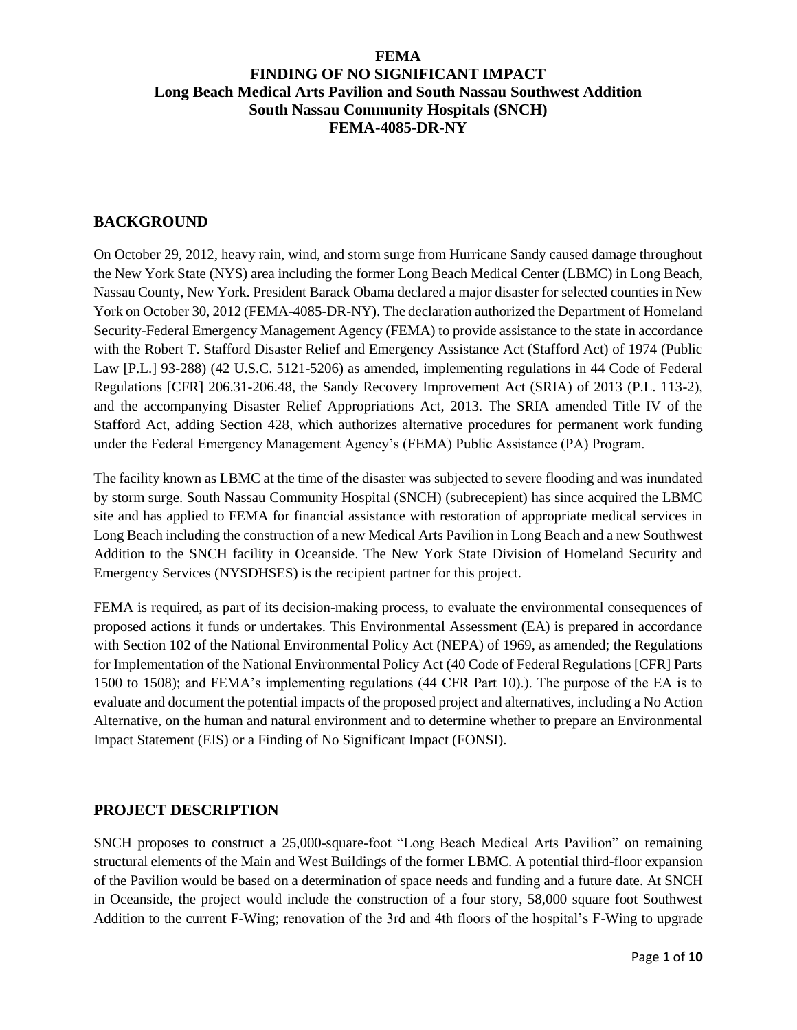### **FEMA**

# **FINDING OF NO SIGNIFICANT IMPACT Long Beach Medical Arts Pavilion and South Nassau Southwest Addition South Nassau Community Hospitals (SNCH) FEMA-4085-DR-NY**

#### **BACKGROUND**

On October 29, 2012, heavy rain, wind, and storm surge from Hurricane Sandy caused damage throughout the New York State (NYS) area including the former Long Beach Medical Center (LBMC) in Long Beach, Nassau County, New York. President Barack Obama declared a major disaster for selected counties in New York on October 30, 2012 (FEMA-4085-DR-NY). The declaration authorized the Department of Homeland Security-Federal Emergency Management Agency (FEMA) to provide assistance to the state in accordance with the Robert T. Stafford Disaster Relief and Emergency Assistance Act (Stafford Act) of 1974 (Public Law [P.L.] 93-288) (42 U.S.C. 5121-5206) as amended, implementing regulations in 44 Code of Federal Regulations [CFR] 206.31-206.48, the Sandy Recovery Improvement Act (SRIA) of 2013 (P.L. 113-2), and the accompanying Disaster Relief Appropriations Act, 2013. The SRIA amended Title IV of the Stafford Act, adding Section 428, which authorizes alternative procedures for permanent work funding under the Federal Emergency Management Agency's (FEMA) Public Assistance (PA) Program.

The facility known as LBMC at the time of the disaster was subjected to severe flooding and was inundated by storm surge. South Nassau Community Hospital (SNCH) (subrecepient) has since acquired the LBMC site and has applied to FEMA for financial assistance with restoration of appropriate medical services in Long Beach including the construction of a new Medical Arts Pavilion in Long Beach and a new Southwest Addition to the SNCH facility in Oceanside. The New York State Division of Homeland Security and Emergency Services (NYSDHSES) is the recipient partner for this project.

FEMA is required, as part of its decision-making process, to evaluate the environmental consequences of proposed actions it funds or undertakes. This Environmental Assessment (EA) is prepared in accordance with Section 102 of the National Environmental Policy Act (NEPA) of 1969, as amended; the Regulations for Implementation of the National Environmental Policy Act (40 Code of Federal Regulations [CFR] Parts 1500 to 1508); and FEMA's implementing regulations (44 CFR Part 10).). The purpose of the EA is to evaluate and document the potential impacts of the proposed project and alternatives, including a No Action Alternative, on the human and natural environment and to determine whether to prepare an Environmental Impact Statement (EIS) or a Finding of No Significant Impact (FONSI).

### **PROJECT DESCRIPTION**

SNCH proposes to construct a 25,000-square-foot "Long Beach Medical Arts Pavilion" on remaining structural elements of the Main and West Buildings of the former LBMC. A potential third-floor expansion of the Pavilion would be based on a determination of space needs and funding and a future date. At SNCH in Oceanside, the project would include the construction of a four story, 58,000 square foot Southwest Addition to the current F-Wing; renovation of the 3rd and 4th floors of the hospital's F-Wing to upgrade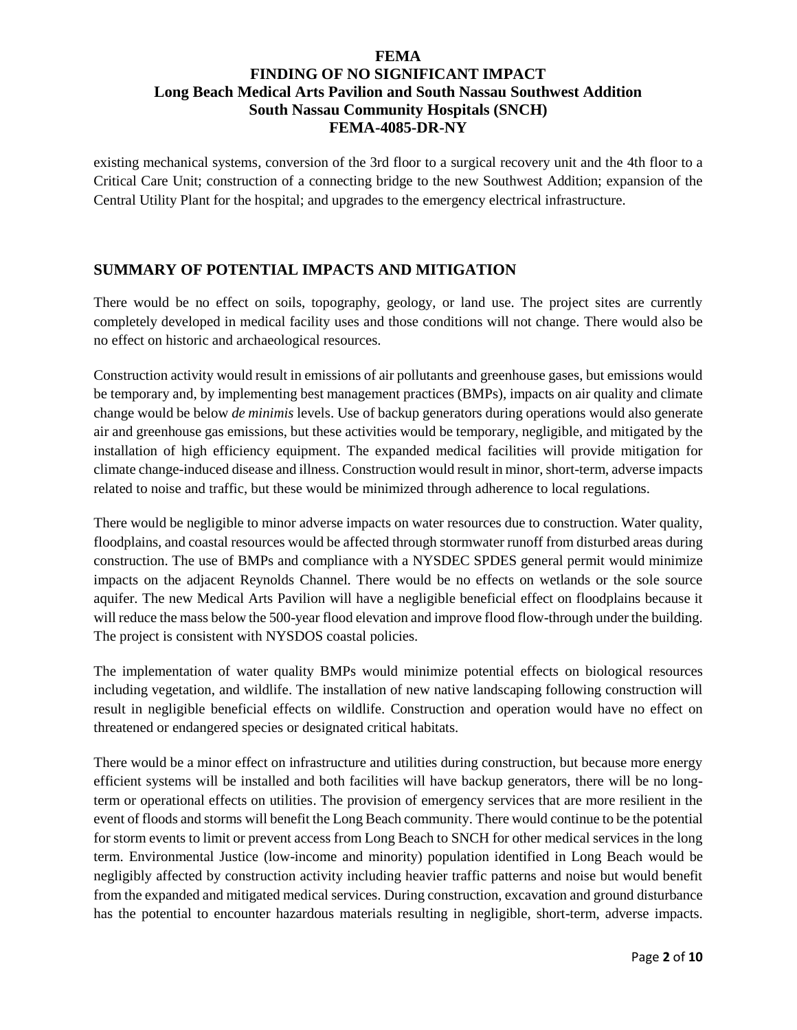existing mechanical systems, conversion of the 3rd floor to a surgical recovery unit and the 4th floor to a Critical Care Unit; construction of a connecting bridge to the new Southwest Addition; expansion of the Central Utility Plant for the hospital; and upgrades to the emergency electrical infrastructure.

# **SUMMARY OF POTENTIAL IMPACTS AND MITIGATION**

There would be no effect on soils, topography, geology, or land use. The project sites are currently completely developed in medical facility uses and those conditions will not change. There would also be no effect on historic and archaeological resources.

Construction activity would result in emissions of air pollutants and greenhouse gases, but emissions would be temporary and, by implementing best management practices (BMPs), impacts on air quality and climate change would be below *de minimis* levels. Use of backup generators during operations would also generate air and greenhouse gas emissions, but these activities would be temporary, negligible, and mitigated by the installation of high efficiency equipment. The expanded medical facilities will provide mitigation for climate change-induced disease and illness. Construction would result in minor, short-term, adverse impacts related to noise and traffic, but these would be minimized through adherence to local regulations.

There would be negligible to minor adverse impacts on water resources due to construction. Water quality, floodplains, and coastal resources would be affected through stormwater runoff from disturbed areas during construction. The use of BMPs and compliance with a NYSDEC SPDES general permit would minimize impacts on the adjacent Reynolds Channel. There would be no effects on wetlands or the sole source aquifer. The new Medical Arts Pavilion will have a negligible beneficial effect on floodplains because it will reduce the mass below the 500-year flood elevation and improve flood flow-through under the building. The project is consistent with NYSDOS coastal policies.

The implementation of water quality BMPs would minimize potential effects on biological resources including vegetation, and wildlife. The installation of new native landscaping following construction will result in negligible beneficial effects on wildlife. Construction and operation would have no effect on threatened or endangered species or designated critical habitats.

There would be a minor effect on infrastructure and utilities during construction, but because more energy efficient systems will be installed and both facilities will have backup generators, there will be no longterm or operational effects on utilities. The provision of emergency services that are more resilient in the event of floods and storms will benefit the Long Beach community. There would continue to be the potential for storm events to limit or prevent access from Long Beach to SNCH for other medical services in the long term. Environmental Justice (low-income and minority) population identified in Long Beach would be negligibly affected by construction activity including heavier traffic patterns and noise but would benefit from the expanded and mitigated medical services. During construction, excavation and ground disturbance has the potential to encounter hazardous materials resulting in negligible, short-term, adverse impacts.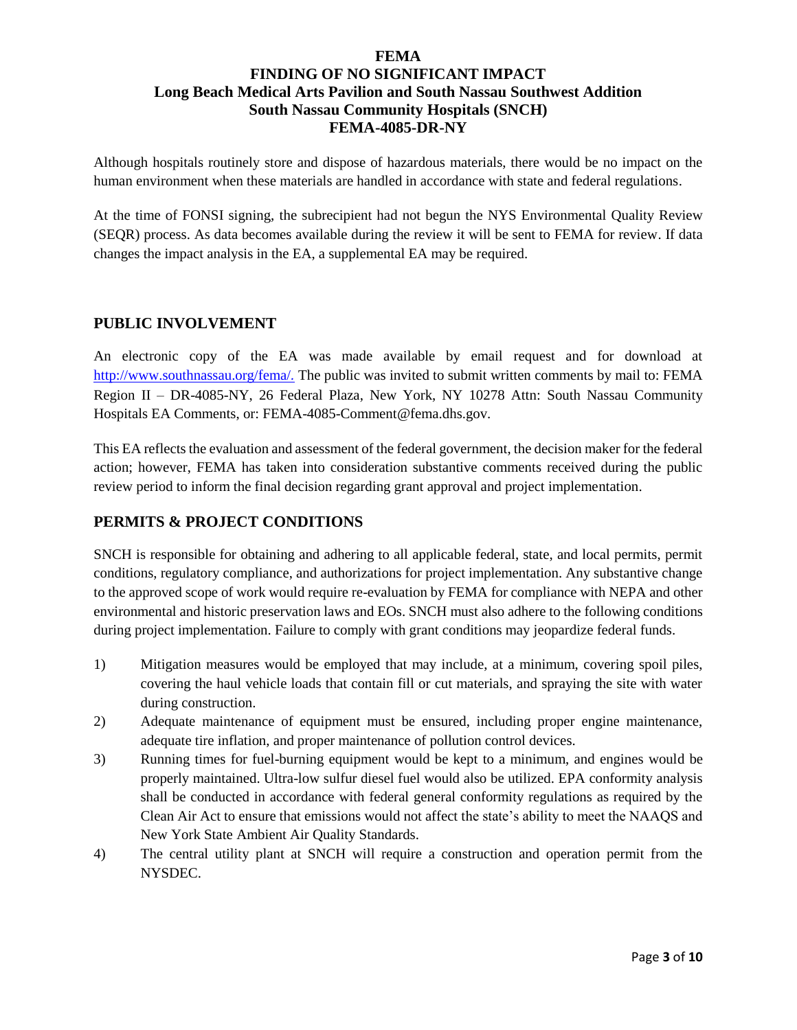Although hospitals routinely store and dispose of hazardous materials, there would be no impact on the human environment when these materials are handled in accordance with state and federal regulations.

At the time of FONSI signing, the subrecipient had not begun the NYS Environmental Quality Review (SEQR) process. As data becomes available during the review it will be sent to FEMA for review. If data changes the impact analysis in the EA, a supplemental EA may be required.

#### **PUBLIC INVOLVEMENT**

An electronic copy of the EA was made available by email request and for download at <http://www.southnassau.org/fema/>*.* The public was invited to submit written comments by mail to: FEMA Region II – DR-4085-NY, 26 Federal Plaza, New York, NY 10278 Attn: South Nassau Community Hospitals EA Comments, or: FEMA-4085-Comment@fema.dhs.gov.

This EA reflects the evaluation and assessment of the federal government, the decision maker for the federal action; however, FEMA has taken into consideration substantive comments received during the public review period to inform the final decision regarding grant approval and project implementation.

#### **PERMITS & PROJECT CONDITIONS**

SNCH is responsible for obtaining and adhering to all applicable federal, state, and local permits, permit conditions, regulatory compliance, and authorizations for project implementation. Any substantive change to the approved scope of work would require re-evaluation by FEMA for compliance with NEPA and other environmental and historic preservation laws and EOs. SNCH must also adhere to the following conditions during project implementation. Failure to comply with grant conditions may jeopardize federal funds.

- 1) Mitigation measures would be employed that may include, at a minimum, covering spoil piles, covering the haul vehicle loads that contain fill or cut materials, and spraying the site with water during construction.
- 2) Adequate maintenance of equipment must be ensured, including proper engine maintenance, adequate tire inflation, and proper maintenance of pollution control devices.
- 3) Running times for fuel-burning equipment would be kept to a minimum, and engines would be properly maintained. Ultra-low sulfur diesel fuel would also be utilized. EPA conformity analysis shall be conducted in accordance with federal general conformity regulations as required by the Clean Air Act to ensure that emissions would not affect the state's ability to meet the NAAQS and New York State Ambient Air Quality Standards.
- 4) The central utility plant at SNCH will require a construction and operation permit from the NYSDEC.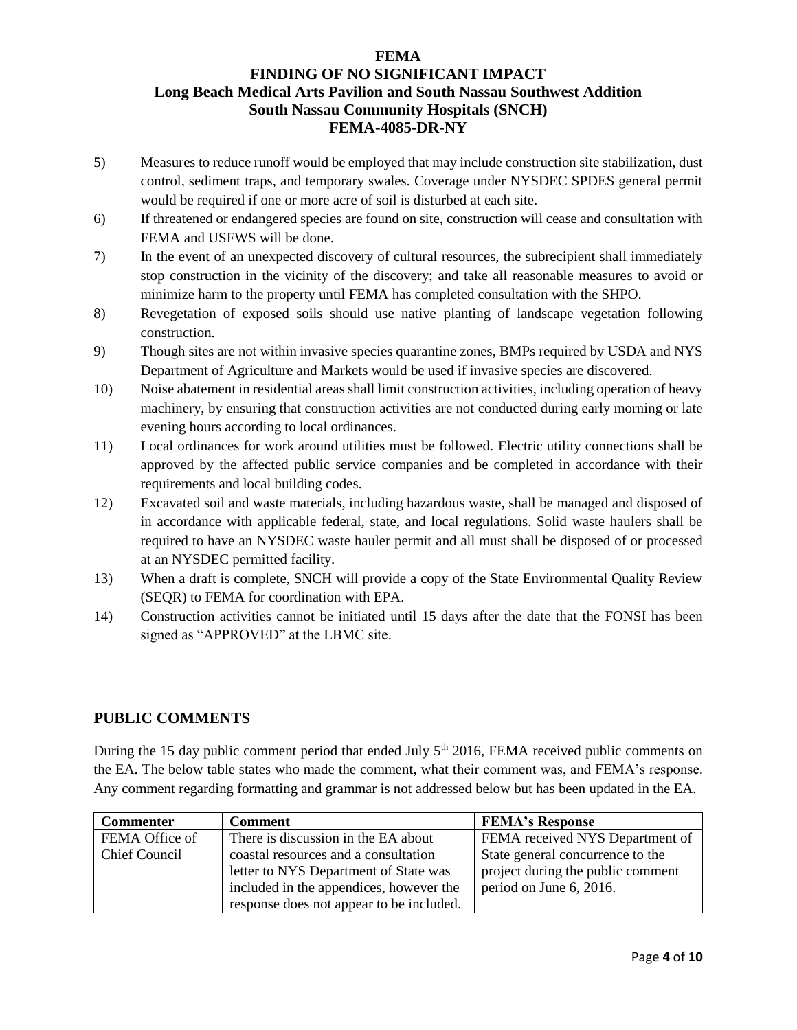### **FEMA**

# **FINDING OF NO SIGNIFICANT IMPACT Long Beach Medical Arts Pavilion and South Nassau Southwest Addition South Nassau Community Hospitals (SNCH) FEMA-4085-DR-NY**

- 5) Measures to reduce runoff would be employed that may include construction site stabilization, dust control, sediment traps, and temporary swales. Coverage under NYSDEC SPDES general permit would be required if one or more acre of soil is disturbed at each site.
- 6) If threatened or endangered species are found on site, construction will cease and consultation with FEMA and USFWS will be done.
- 7) In the event of an unexpected discovery of cultural resources, the subrecipient shall immediately stop construction in the vicinity of the discovery; and take all reasonable measures to avoid or minimize harm to the property until FEMA has completed consultation with the SHPO.
- 8) Revegetation of exposed soils should use native planting of landscape vegetation following construction.
- 9) Though sites are not within invasive species quarantine zones, BMPs required by USDA and NYS Department of Agriculture and Markets would be used if invasive species are discovered.
- 10) Noise abatement in residential areas shall limit construction activities, including operation of heavy machinery, by ensuring that construction activities are not conducted during early morning or late evening hours according to local ordinances.
- 11) Local ordinances for work around utilities must be followed. Electric utility connections shall be approved by the affected public service companies and be completed in accordance with their requirements and local building codes.
- 12) Excavated soil and waste materials, including hazardous waste, shall be managed and disposed of in accordance with applicable federal, state, and local regulations. Solid waste haulers shall be required to have an NYSDEC waste hauler permit and all must shall be disposed of or processed at an NYSDEC permitted facility.
- 13) When a draft is complete, SNCH will provide a copy of the State Environmental Quality Review (SEQR) to FEMA for coordination with EPA.
- 14) Construction activities cannot be initiated until 15 days after the date that the FONSI has been signed as "APPROVED" at the LBMC site.

### **PUBLIC COMMENTS**

During the 15 day public comment period that ended July 5<sup>th</sup> 2016, FEMA received public comments on the EA. The below table states who made the comment, what their comment was, and FEMA's response. Any comment regarding formatting and grammar is not addressed below but has been updated in the EA.

| <b>Commenter</b>     | <b>Comment</b>                           | <b>FEMA's Response</b>            |
|----------------------|------------------------------------------|-----------------------------------|
| FEMA Office of       | There is discussion in the EA about      | FEMA received NYS Department of   |
| <b>Chief Council</b> | coastal resources and a consultation     | State general concurrence to the  |
|                      | letter to NYS Department of State was    | project during the public comment |
|                      | included in the appendices, however the  | period on June 6, 2016.           |
|                      | response does not appear to be included. |                                   |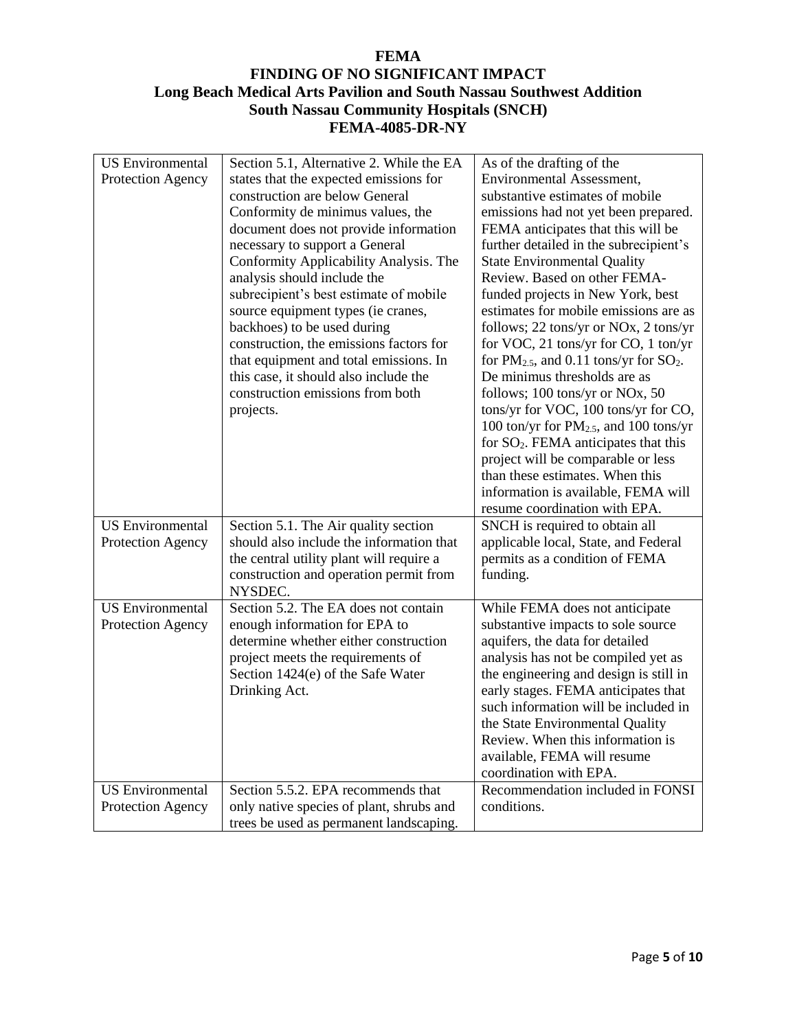| <b>US</b> Environmental<br>Protection Agency | Section 5.1, Alternative 2. While the EA<br>states that the expected emissions for<br>construction are below General<br>Conformity de minimus values, the<br>document does not provide information<br>necessary to support a General<br>Conformity Applicability Analysis. The<br>analysis should include the<br>subrecipient's best estimate of mobile<br>source equipment types (ie cranes,<br>backhoes) to be used during<br>construction, the emissions factors for<br>that equipment and total emissions. In<br>this case, it should also include the<br>construction emissions from both<br>projects. | As of the drafting of the<br>Environmental Assessment,<br>substantive estimates of mobile<br>emissions had not yet been prepared.<br>FEMA anticipates that this will be<br>further detailed in the subrecipient's<br><b>State Environmental Quality</b><br>Review. Based on other FEMA-<br>funded projects in New York, best<br>estimates for mobile emissions are as<br>follows; 22 tons/yr or NOx, 2 tons/yr<br>for VOC, 21 tons/yr for CO, 1 ton/yr<br>for $PM_{2.5}$ , and 0.11 tons/yr for $SO_2$ .<br>De minimus thresholds are as<br>follows; 100 tons/yr or NOx, 50<br>tons/yr for VOC, 100 tons/yr for CO,<br>100 ton/yr for $PM_{2.5}$ , and 100 tons/yr<br>for $SO_2$ . FEMA anticipates that this<br>project will be comparable or less<br>than these estimates. When this<br>information is available, FEMA will<br>resume coordination with EPA. |
|----------------------------------------------|-------------------------------------------------------------------------------------------------------------------------------------------------------------------------------------------------------------------------------------------------------------------------------------------------------------------------------------------------------------------------------------------------------------------------------------------------------------------------------------------------------------------------------------------------------------------------------------------------------------|----------------------------------------------------------------------------------------------------------------------------------------------------------------------------------------------------------------------------------------------------------------------------------------------------------------------------------------------------------------------------------------------------------------------------------------------------------------------------------------------------------------------------------------------------------------------------------------------------------------------------------------------------------------------------------------------------------------------------------------------------------------------------------------------------------------------------------------------------------------|
| <b>US</b> Environmental<br>Protection Agency | Section 5.1. The Air quality section<br>should also include the information that<br>the central utility plant will require a<br>construction and operation permit from<br>NYSDEC.                                                                                                                                                                                                                                                                                                                                                                                                                           | SNCH is required to obtain all<br>applicable local, State, and Federal<br>permits as a condition of FEMA<br>funding.                                                                                                                                                                                                                                                                                                                                                                                                                                                                                                                                                                                                                                                                                                                                           |
| <b>US</b> Environmental<br>Protection Agency | Section 5.2. The EA does not contain<br>enough information for EPA to<br>determine whether either construction<br>project meets the requirements of<br>Section 1424(e) of the Safe Water<br>Drinking Act.                                                                                                                                                                                                                                                                                                                                                                                                   | While FEMA does not anticipate<br>substantive impacts to sole source<br>aquifers, the data for detailed<br>analysis has not be compiled yet as<br>the engineering and design is still in<br>early stages. FEMA anticipates that<br>such information will be included in<br>the State Environmental Quality<br>Review. When this information is<br>available, FEMA will resume<br>coordination with EPA.                                                                                                                                                                                                                                                                                                                                                                                                                                                        |
| <b>US</b> Environmental<br>Protection Agency | Section 5.5.2. EPA recommends that<br>only native species of plant, shrubs and<br>trees be used as permanent landscaping.                                                                                                                                                                                                                                                                                                                                                                                                                                                                                   | Recommendation included in FONSI<br>conditions.                                                                                                                                                                                                                                                                                                                                                                                                                                                                                                                                                                                                                                                                                                                                                                                                                |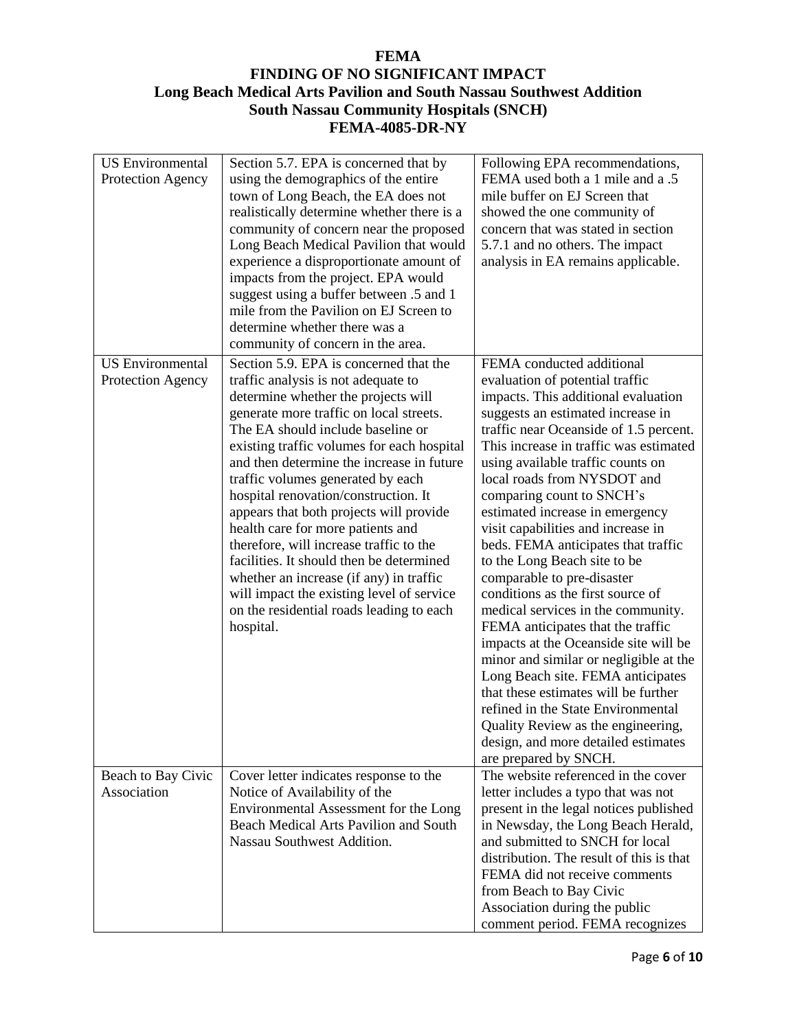| <b>US</b> Environmental<br>Protection Agency | Section 5.7. EPA is concerned that by<br>using the demographics of the entire<br>town of Long Beach, the EA does not<br>realistically determine whether there is a<br>community of concern near the proposed<br>Long Beach Medical Pavilion that would<br>experience a disproportionate amount of<br>impacts from the project. EPA would<br>suggest using a buffer between .5 and 1<br>mile from the Pavilion on EJ Screen to<br>determine whether there was a<br>community of concern in the area.                                                                                                                                                                                                  | Following EPA recommendations,<br>FEMA used both a 1 mile and a .5<br>mile buffer on EJ Screen that<br>showed the one community of<br>concern that was stated in section<br>5.7.1 and no others. The impact<br>analysis in EA remains applicable.                                                                                                                                                                                                                                                                                                                                                                                                                                                                                                                                                                                                                                                                                       |
|----------------------------------------------|------------------------------------------------------------------------------------------------------------------------------------------------------------------------------------------------------------------------------------------------------------------------------------------------------------------------------------------------------------------------------------------------------------------------------------------------------------------------------------------------------------------------------------------------------------------------------------------------------------------------------------------------------------------------------------------------------|-----------------------------------------------------------------------------------------------------------------------------------------------------------------------------------------------------------------------------------------------------------------------------------------------------------------------------------------------------------------------------------------------------------------------------------------------------------------------------------------------------------------------------------------------------------------------------------------------------------------------------------------------------------------------------------------------------------------------------------------------------------------------------------------------------------------------------------------------------------------------------------------------------------------------------------------|
| <b>US</b> Environmental<br>Protection Agency | Section 5.9. EPA is concerned that the<br>traffic analysis is not adequate to<br>determine whether the projects will<br>generate more traffic on local streets.<br>The EA should include baseline or<br>existing traffic volumes for each hospital<br>and then determine the increase in future<br>traffic volumes generated by each<br>hospital renovation/construction. It<br>appears that both projects will provide<br>health care for more patients and<br>therefore, will increase traffic to the<br>facilities. It should then be determined<br>whether an increase (if any) in traffic<br>will impact the existing level of service<br>on the residential roads leading to each<br>hospital. | FEMA conducted additional<br>evaluation of potential traffic<br>impacts. This additional evaluation<br>suggests an estimated increase in<br>traffic near Oceanside of 1.5 percent.<br>This increase in traffic was estimated<br>using available traffic counts on<br>local roads from NYSDOT and<br>comparing count to SNCH's<br>estimated increase in emergency<br>visit capabilities and increase in<br>beds. FEMA anticipates that traffic<br>to the Long Beach site to be<br>comparable to pre-disaster<br>conditions as the first source of<br>medical services in the community.<br>FEMA anticipates that the traffic<br>impacts at the Oceanside site will be<br>minor and similar or negligible at the<br>Long Beach site. FEMA anticipates<br>that these estimates will be further<br>refined in the State Environmental<br>Quality Review as the engineering,<br>design, and more detailed estimates<br>are prepared by SNCH. |
| Beach to Bay Civic<br>Association            | Cover letter indicates response to the<br>Notice of Availability of the<br>Environmental Assessment for the Long<br>Beach Medical Arts Pavilion and South<br>Nassau Southwest Addition.                                                                                                                                                                                                                                                                                                                                                                                                                                                                                                              | The website referenced in the cover<br>letter includes a typo that was not<br>present in the legal notices published<br>in Newsday, the Long Beach Herald,<br>and submitted to SNCH for local<br>distribution. The result of this is that<br>FEMA did not receive comments<br>from Beach to Bay Civic<br>Association during the public<br>comment period. FEMA recognizes                                                                                                                                                                                                                                                                                                                                                                                                                                                                                                                                                               |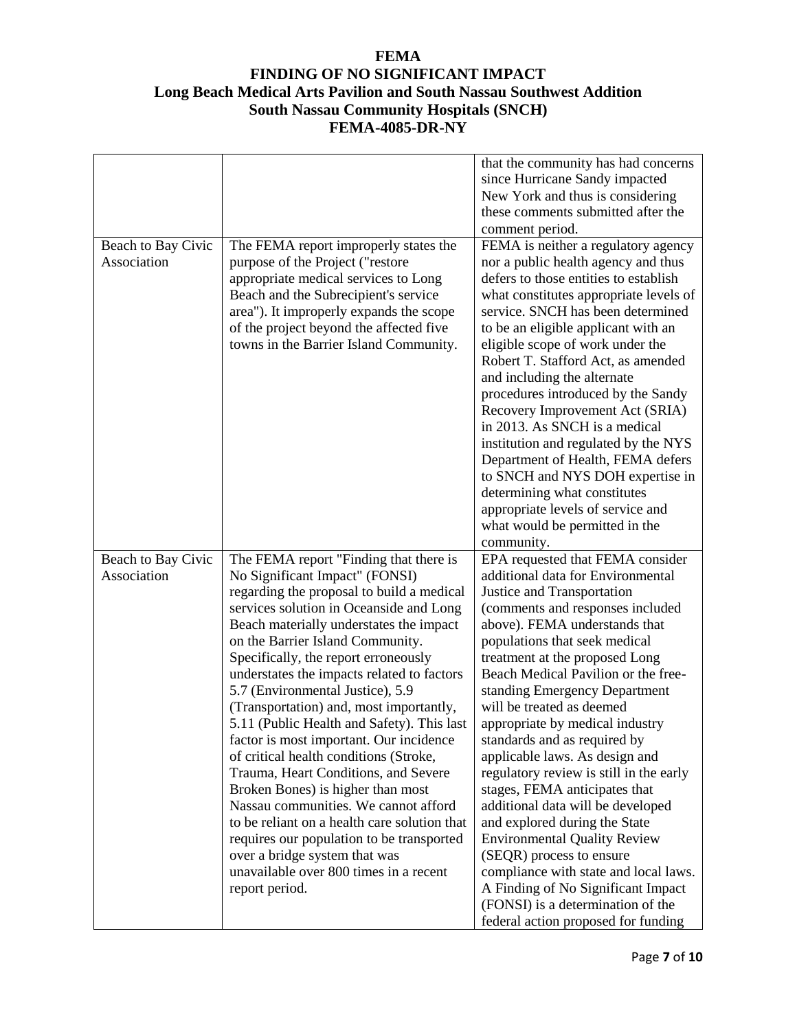|                    |                                              | that the community has had concerns     |
|--------------------|----------------------------------------------|-----------------------------------------|
|                    |                                              | since Hurricane Sandy impacted          |
|                    |                                              | New York and thus is considering        |
|                    |                                              | these comments submitted after the      |
|                    |                                              | comment period.                         |
| Beach to Bay Civic | The FEMA report improperly states the        | FEMA is neither a regulatory agency     |
| Association        | purpose of the Project ("restore             | nor a public health agency and thus     |
|                    | appropriate medical services to Long         | defers to those entities to establish   |
|                    | Beach and the Subrecipient's service         | what constitutes appropriate levels of  |
|                    | area"). It improperly expands the scope      | service. SNCH has been determined       |
|                    | of the project beyond the affected five      | to be an eligible applicant with an     |
|                    | towns in the Barrier Island Community.       | eligible scope of work under the        |
|                    |                                              | Robert T. Stafford Act, as amended      |
|                    |                                              | and including the alternate             |
|                    |                                              | procedures introduced by the Sandy      |
|                    |                                              | Recovery Improvement Act (SRIA)         |
|                    |                                              | in 2013. As SNCH is a medical           |
|                    |                                              | institution and regulated by the NYS    |
|                    |                                              | Department of Health, FEMA defers       |
|                    |                                              | to SNCH and NYS DOH expertise in        |
|                    |                                              | determining what constitutes            |
|                    |                                              | appropriate levels of service and       |
|                    |                                              | what would be permitted in the          |
|                    |                                              | community.                              |
| Beach to Bay Civic | The FEMA report "Finding that there is       | EPA requested that FEMA consider        |
| Association        | No Significant Impact" (FONSI)               | additional data for Environmental       |
|                    | regarding the proposal to build a medical    | Justice and Transportation              |
|                    | services solution in Oceanside and Long      | (comments and responses included        |
|                    | Beach materially understates the impact      | above). FEMA understands that           |
|                    | on the Barrier Island Community.             | populations that seek medical           |
|                    | Specifically, the report erroneously         | treatment at the proposed Long          |
|                    | understates the impacts related to factors   | Beach Medical Pavilion or the free-     |
|                    | 5.7 (Environmental Justice), 5.9             | standing Emergency Department           |
|                    | (Transportation) and, most importantly,      | will be treated as deemed               |
|                    | 5.11 (Public Health and Safety). This last   | appropriate by medical industry         |
|                    | factor is most important. Our incidence      | standards and as required by            |
|                    | of critical health conditions (Stroke,       | applicable laws. As design and          |
|                    | Trauma, Heart Conditions, and Severe         | regulatory review is still in the early |
|                    | Broken Bones) is higher than most            | stages, FEMA anticipates that           |
|                    | Nassau communities. We cannot afford         |                                         |
|                    |                                              | additional data will be developed       |
|                    | to be reliant on a health care solution that | and explored during the State           |
|                    | requires our population to be transported    | <b>Environmental Quality Review</b>     |
|                    | over a bridge system that was                | (SEQR) process to ensure                |
|                    | unavailable over 800 times in a recent       | compliance with state and local laws.   |
|                    | report period.                               | A Finding of No Significant Impact      |
|                    |                                              | (FONSI) is a determination of the       |
|                    |                                              | federal action proposed for funding     |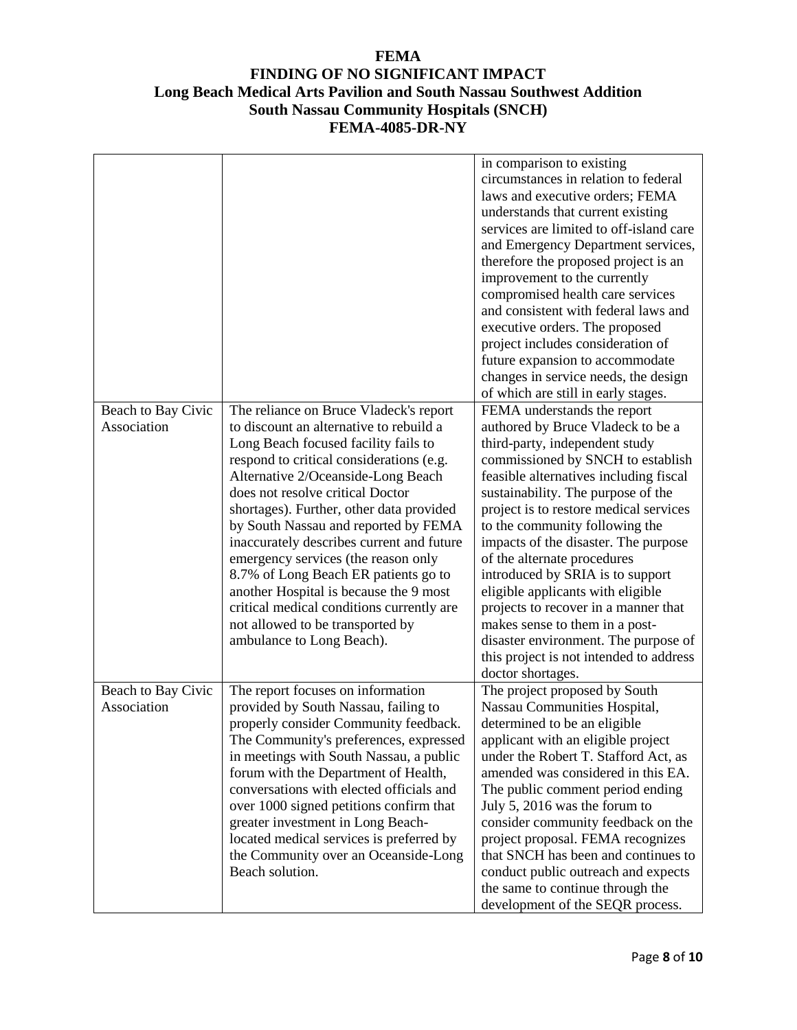|                                   |                                                                                                                                                                                                                                                                                                                                                                                                                                                                                                                                                                                                                         | in comparison to existing<br>circumstances in relation to federal<br>laws and executive orders; FEMA<br>understands that current existing<br>services are limited to off-island care<br>and Emergency Department services,<br>therefore the proposed project is an<br>improvement to the currently<br>compromised health care services<br>and consistent with federal laws and<br>executive orders. The proposed<br>project includes consideration of<br>future expansion to accommodate<br>changes in service needs, the design<br>of which are still in early stages.                                                               |
|-----------------------------------|-------------------------------------------------------------------------------------------------------------------------------------------------------------------------------------------------------------------------------------------------------------------------------------------------------------------------------------------------------------------------------------------------------------------------------------------------------------------------------------------------------------------------------------------------------------------------------------------------------------------------|---------------------------------------------------------------------------------------------------------------------------------------------------------------------------------------------------------------------------------------------------------------------------------------------------------------------------------------------------------------------------------------------------------------------------------------------------------------------------------------------------------------------------------------------------------------------------------------------------------------------------------------|
| Beach to Bay Civic<br>Association | The reliance on Bruce Vladeck's report<br>to discount an alternative to rebuild a<br>Long Beach focused facility fails to<br>respond to critical considerations (e.g.<br>Alternative 2/Oceanside-Long Beach<br>does not resolve critical Doctor<br>shortages). Further, other data provided<br>by South Nassau and reported by FEMA<br>inaccurately describes current and future<br>emergency services (the reason only<br>8.7% of Long Beach ER patients go to<br>another Hospital is because the 9 most<br>critical medical conditions currently are<br>not allowed to be transported by<br>ambulance to Long Beach). | FEMA understands the report<br>authored by Bruce Vladeck to be a<br>third-party, independent study<br>commissioned by SNCH to establish<br>feasible alternatives including fiscal<br>sustainability. The purpose of the<br>project is to restore medical services<br>to the community following the<br>impacts of the disaster. The purpose<br>of the alternate procedures<br>introduced by SRIA is to support<br>eligible applicants with eligible<br>projects to recover in a manner that<br>makes sense to them in a post-<br>disaster environment. The purpose of<br>this project is not intended to address<br>doctor shortages. |
| Beach to Bay Civic<br>Association | The report focuses on information<br>provided by South Nassau, failing to<br>properly consider Community feedback.<br>The Community's preferences, expressed<br>in meetings with South Nassau, a public<br>forum with the Department of Health,<br>conversations with elected officials and<br>over 1000 signed petitions confirm that<br>greater investment in Long Beach-<br>located medical services is preferred by<br>the Community over an Oceanside-Long<br>Beach solution.                                                                                                                                      | The project proposed by South<br>Nassau Communities Hospital,<br>determined to be an eligible<br>applicant with an eligible project<br>under the Robert T. Stafford Act, as<br>amended was considered in this EA.<br>The public comment period ending<br>July 5, 2016 was the forum to<br>consider community feedback on the<br>project proposal. FEMA recognizes<br>that SNCH has been and continues to<br>conduct public outreach and expects<br>the same to continue through the<br>development of the SEQR process.                                                                                                               |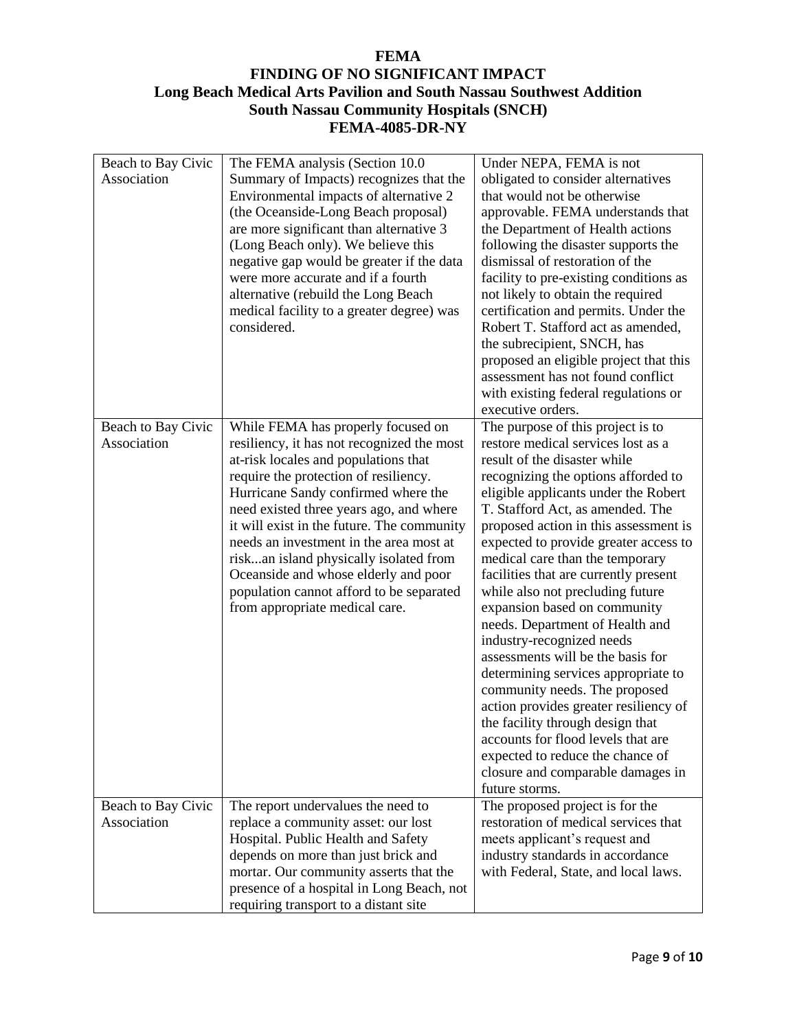| Beach to Bay Civic<br>Association | The FEMA analysis (Section 10.0)<br>Summary of Impacts) recognizes that the<br>Environmental impacts of alternative 2<br>(the Oceanside-Long Beach proposal)<br>are more significant than alternative 3<br>(Long Beach only). We believe this<br>negative gap would be greater if the data<br>were more accurate and if a fourth<br>alternative (rebuild the Long Beach<br>medical facility to a greater degree) was<br>considered.                                                                          | Under NEPA, FEMA is not<br>obligated to consider alternatives<br>that would not be otherwise<br>approvable. FEMA understands that<br>the Department of Health actions<br>following the disaster supports the<br>dismissal of restoration of the<br>facility to pre-existing conditions as<br>not likely to obtain the required<br>certification and permits. Under the<br>Robert T. Stafford act as amended,<br>the subrecipient, SNCH, has<br>proposed an eligible project that this<br>assessment has not found conflict<br>with existing federal regulations or<br>executive orders.                                                                                                                                                                                                                                                                 |
|-----------------------------------|--------------------------------------------------------------------------------------------------------------------------------------------------------------------------------------------------------------------------------------------------------------------------------------------------------------------------------------------------------------------------------------------------------------------------------------------------------------------------------------------------------------|---------------------------------------------------------------------------------------------------------------------------------------------------------------------------------------------------------------------------------------------------------------------------------------------------------------------------------------------------------------------------------------------------------------------------------------------------------------------------------------------------------------------------------------------------------------------------------------------------------------------------------------------------------------------------------------------------------------------------------------------------------------------------------------------------------------------------------------------------------|
| Beach to Bay Civic<br>Association | While FEMA has properly focused on<br>resiliency, it has not recognized the most<br>at-risk locales and populations that<br>require the protection of resiliency.<br>Hurricane Sandy confirmed where the<br>need existed three years ago, and where<br>it will exist in the future. The community<br>needs an investment in the area most at<br>riskan island physically isolated from<br>Oceanside and whose elderly and poor<br>population cannot afford to be separated<br>from appropriate medical care. | The purpose of this project is to<br>restore medical services lost as a<br>result of the disaster while<br>recognizing the options afforded to<br>eligible applicants under the Robert<br>T. Stafford Act, as amended. The<br>proposed action in this assessment is<br>expected to provide greater access to<br>medical care than the temporary<br>facilities that are currently present<br>while also not precluding future<br>expansion based on community<br>needs. Department of Health and<br>industry-recognized needs<br>assessments will be the basis for<br>determining services appropriate to<br>community needs. The proposed<br>action provides greater resiliency of<br>the facility through design that<br>accounts for flood levels that are<br>expected to reduce the chance of<br>closure and comparable damages in<br>future storms. |
| Beach to Bay Civic<br>Association | The report undervalues the need to<br>replace a community asset: our lost<br>Hospital. Public Health and Safety<br>depends on more than just brick and<br>mortar. Our community asserts that the<br>presence of a hospital in Long Beach, not<br>requiring transport to a distant site                                                                                                                                                                                                                       | The proposed project is for the<br>restoration of medical services that<br>meets applicant's request and<br>industry standards in accordance<br>with Federal, State, and local laws.                                                                                                                                                                                                                                                                                                                                                                                                                                                                                                                                                                                                                                                                    |